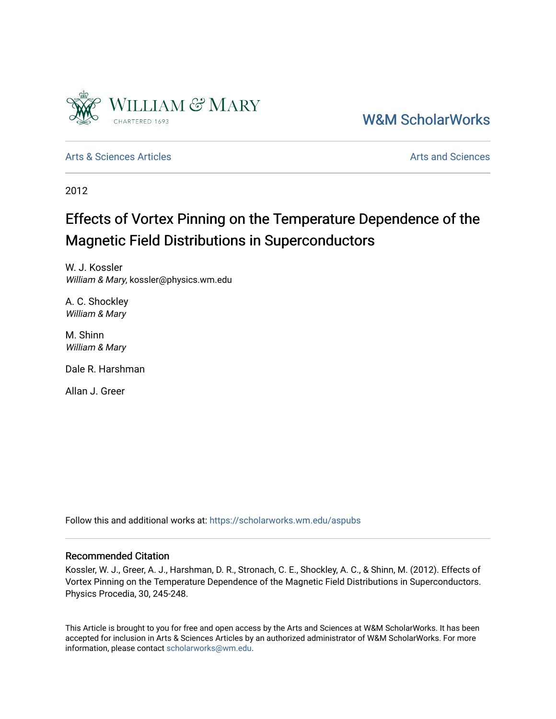

[W&M ScholarWorks](https://scholarworks.wm.edu/) 

[Arts & Sciences Articles](https://scholarworks.wm.edu/aspubs) **Articles** [Arts and Sciences](https://scholarworks.wm.edu/as) Articles Arts and Sciences Arts and Sciences Articles Arts and Sciences Arts and Sciences Articles Arts and Sciences Articles Arts and Sciences Articles **Arts and Scien** 

2012

# Effects of Vortex Pinning on the Temperature Dependence of the Magnetic Field Distributions in Superconductors

W. J. Kossler William & Mary, kossler@physics.wm.edu

A. C. Shockley William & Mary

M. Shinn William & Mary

Dale R. Harshman

Allan J. Greer

Follow this and additional works at: [https://scholarworks.wm.edu/aspubs](https://scholarworks.wm.edu/aspubs?utm_source=scholarworks.wm.edu%2Faspubs%2F1610&utm_medium=PDF&utm_campaign=PDFCoverPages) 

### Recommended Citation

Kossler, W. J., Greer, A. J., Harshman, D. R., Stronach, C. E., Shockley, A. C., & Shinn, M. (2012). Effects of Vortex Pinning on the Temperature Dependence of the Magnetic Field Distributions in Superconductors. Physics Procedia, 30, 245-248.

This Article is brought to you for free and open access by the Arts and Sciences at W&M ScholarWorks. It has been accepted for inclusion in Arts & Sciences Articles by an authorized administrator of W&M ScholarWorks. For more information, please contact [scholarworks@wm.edu](mailto:scholarworks@wm.edu).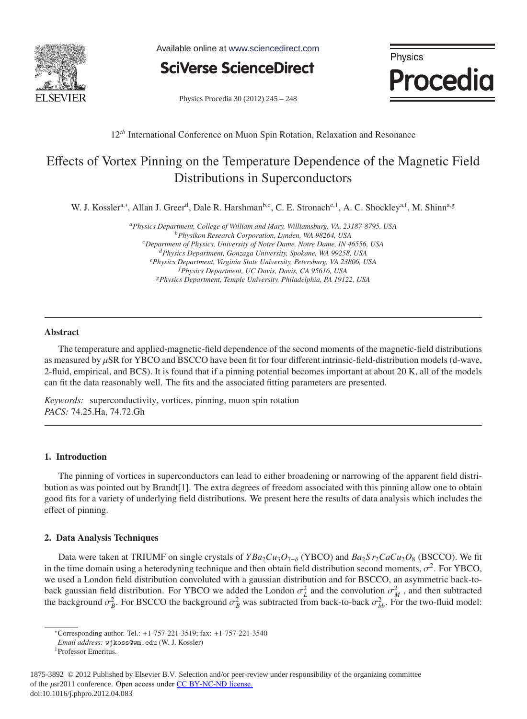

Available online at www.sciencedirect.com

**SciVerse ScienceDirect** 

Physics Procedia

Physics Procedia 30 (2012) 245 - 248

#### 12<sup>th</sup> International Conference on Muon Spin Rotation, Relaxation and Resonance

## Effects of Vortex Pinning on the Temperature Dependence of the Magnetic Field Distributions in Superconductors

W. J. Kossler<sup>a,∗</sup>, Allan J. Greer<sup>d</sup>, Dale R. Harshman<sup>b,c</sup>, C. E. Stronach<sup>e, 1</sup>, A. C. Shockley<sup>a,f</sup>, M. Shinn<sup>a,g</sup>

*aPhysics Department, College of William and Mary, Williamsburg, VA, 23187-8795, USA bPhysikon Research Corporation, Lynden, WA 98264, USA cDepartment of Physics, University of Notre Dame, Notre Dame, IN 46556, USA dPhysics Department, Gonzaga University, Spokane, WA 99258, USA ePhysics Department, Virginia State University, Petersburg, VA 23806, USA f Physics Department, UC Davis, Davis, CA 95616, USA gPhysics Department, Temple University, Philadelphia, PA 19122, USA*

#### Abstract

The temperature and applied-magnetic-field dependence of the second moments of the magnetic-field distributions as measured by μSR for YBCO and BSCCO have been fit for four different intrinsic-field-distribution models (d-wave, 2-fluid, empirical, and BCS). It is found that if a pinning potential becomes important at about 20 K, all of the models can fit the data reasonably well. The fits and the associated fitting parameters are presented.

*Keywords:* superconductivity, vortices, pinning, muon spin rotation *PACS:* 74.25.Ha, 74.72.Gh

#### 1. Introduction

The pinning of vortices in superconductors can lead to either broadening or narrowing of the apparent field distribution as was pointed out by Brandt[1]. The extra degrees of freedom associated with this pinning allow one to obtain good fits for a variety of underlying field distributions. We present here the results of data analysis which includes the effect of pinning.

#### 2. Data Analysis Techniques

Data were taken at TRIUMF on single crystals of *YBa*2*Cu*3*O*7−<sup>δ</sup> (YBCO) and *Ba*2*S r*2*CaCu*2*O*<sup>8</sup> (BSCCO). We fit in the time domain using a heterodyning technique and then obtain field distribution second moments,  $\sigma^2$ . For YBCO, we used a London field distribution convoluted with a gaussian distribution and for BSCCO, an asymmetric back-toback gaussian field distribution. For YBCO we added the London  $\sigma_L^2$  and the convolution  $\sigma_M^2$ , and then subtracted the background  $\sigma_B^2$ . For BSCCO the background  $\sigma_B^2$  was subtracted from back-to-back  $\sigma_{bb}^2$ . For the two-fluid model:

<sup>∗</sup>Corresponding author. Tel.: +1-757-221-3519; fax: +1-757-221-3540

*Email address:* wjkoss@wm.edu (W. J. Kossler)

<sup>1</sup>Professor Emeritus.

<sup>1875-3892 © 2012</sup> Published by Elsevier B.V. Selection and/or peer-review under responsibility of the organizing committee of the μsr2011 conference. Open access under [CC BY-NC-ND license.](http://creativecommons.org/licenses/by-nc-nd/3.0/)doi: 10.1016/j.phpro.2012.04.083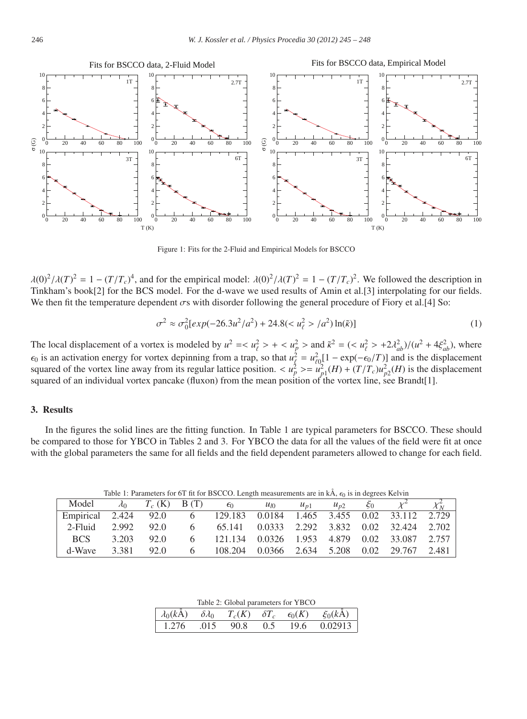

Figure 1: Fits for the 2-Fluid and Empirical Models for BSCCO

 $\lambda(0)^2/\lambda(T)^2 = 1 - (T/T_c)^4$ , and for the empirical model:  $\lambda(0)^2/\lambda(T)^2 = 1 - (T/T_c)^2$ . We followed the description in Tinkham's book[2] for the BCS model. For the d-wave we used results of Amin et al.[3] interpolating for our fields. We then fit the temperature dependent  $\sigma s$  with disorder following the general procedure of Fiory et al.[4] So:

$$
\sigma^2 \approx \sigma_0^2 [exp(-26.3u^2/a^2) + 24.8(t\ell2 > /a^2) \ln(\tilde{\kappa})]
$$
\n(1)

The local displacement of a vortex is modeled by  $u^2 = \langle u_\ell^2 \rangle + \langle u_\ell^2 \rangle$  and  $\tilde{\kappa}^2 = (\langle u_\ell^2 \rangle + 2\lambda_{ab}^2)/(u^2 + 4\xi_{ab}^2)$ , where  $\epsilon_0$  is an activation energy for vortex depinning from a trap, so that  $u_\xi^2 = u_{\ell 0}^2 [1 - \exp(-\epsilon_0/T)]$  and is the displacement squared of the vortex line away from its regular lattice position.  $\langle u_p^2 \rangle = u_{p1}^2(H) + (T/T_c)u_{p2}^2(H)$  is the displacement squared of an individual vortex pancake (fluxon) from the mean position of the vortex line, see Brandt[1].

#### 3. Results

In the figures the solid lines are the fitting function. In Table 1 are typical parameters for BSCCO. These should be compared to those for YBCO in Tables 2 and 3. For YBCO the data for all the values of the field were fit at once with the global parameters the same for all fields and the field dependent parameters allowed to change for each field.

Table 1: Parameters for 6T fit for BSCCO. Length measurements are in  $k\hat{A}$ ,  $\epsilon_0$  is in degrees Kelvin

| Model                                                               |       |            | $\lambda_0$ $T_c$ (K) B (T) $\epsilon_0$       | $u_{I0}$ | $u_{p1}$ | $u_{n2}$ | $\xi_0$ | $\chi_N^2$ |
|---------------------------------------------------------------------|-------|------------|------------------------------------------------|----------|----------|----------|---------|------------|
| Empirical 2.424 92.0 6 129.183 0.0184 1.465 3.455 0.02 33.112 2.729 |       |            |                                                |          |          |          |         |            |
| 2-Fluid                                                             |       | 2.992 92.0 | 6 65.141 0.0333 2.292 3.832 0.02 32.424 2.702  |          |          |          |         |            |
| BCS.                                                                | 3.203 | 92.0       | 6 121.134 0.0326 1.953 4.879 0.02 33.087 2.757 |          |          |          |         |            |
| d-Wave                                                              | 3.381 | 92.0       | 6 108.204 0.0366 2.634 5.208 0.02 29.767 2.481 |          |          |          |         |            |

|  |  | Table 2: Global parameters for YBCO |  |  |
|--|--|-------------------------------------|--|--|
|--|--|-------------------------------------|--|--|

|  |  | $\lambda_0(k\AA)$ $\delta\lambda_0$ $T_c(K)$ $\delta T_c$ $\epsilon_0(K)$ $\xi_0(k\AA)$ |
|--|--|-----------------------------------------------------------------------------------------|
|  |  | 1.276 .015 90.8 0.5 19.6 0.02913                                                        |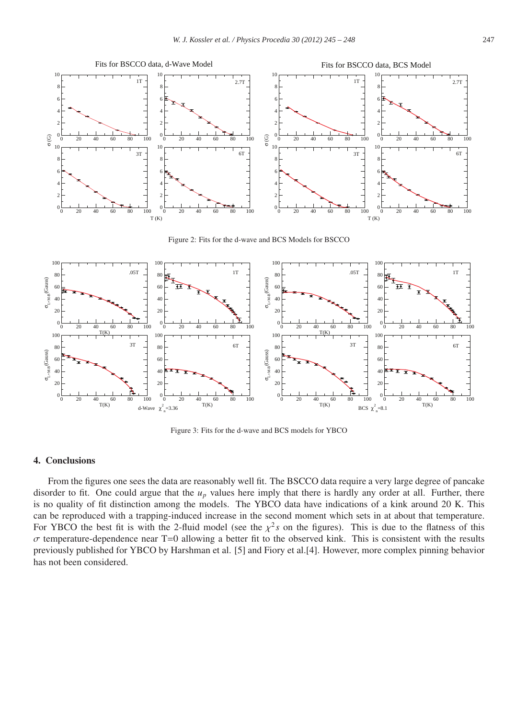

Figure 2: Fits for the d-wave and BCS Models for BSCCO



Figure 3: Fits for the d-wave and BCS models for YBCO

#### 4. Conclusions

From the figures one sees the data are reasonably well fit. The BSCCO data require a very large degree of pancake disorder to fit. One could argue that the *up* values here imply that there is hardly any order at all. Further, there is no quality of fit distinction among the models. The YBCO data have indications of a kink around 20 K. This can be reproduced with a trapping-induced increase in the second moment which sets in at about that temperature. For YBCO the best fit is with the 2-fluid model (see the  $\chi^2$ s on the figures). This is due to the flatness of this  $\sigma$  temperature-dependence near T=0 allowing a better fit to the observed kink. This is consistent with the results previously published for YBCO by Harshman et al. [5] and Fiory et al.[4]. However, more complex pinning behavior has not been considered.